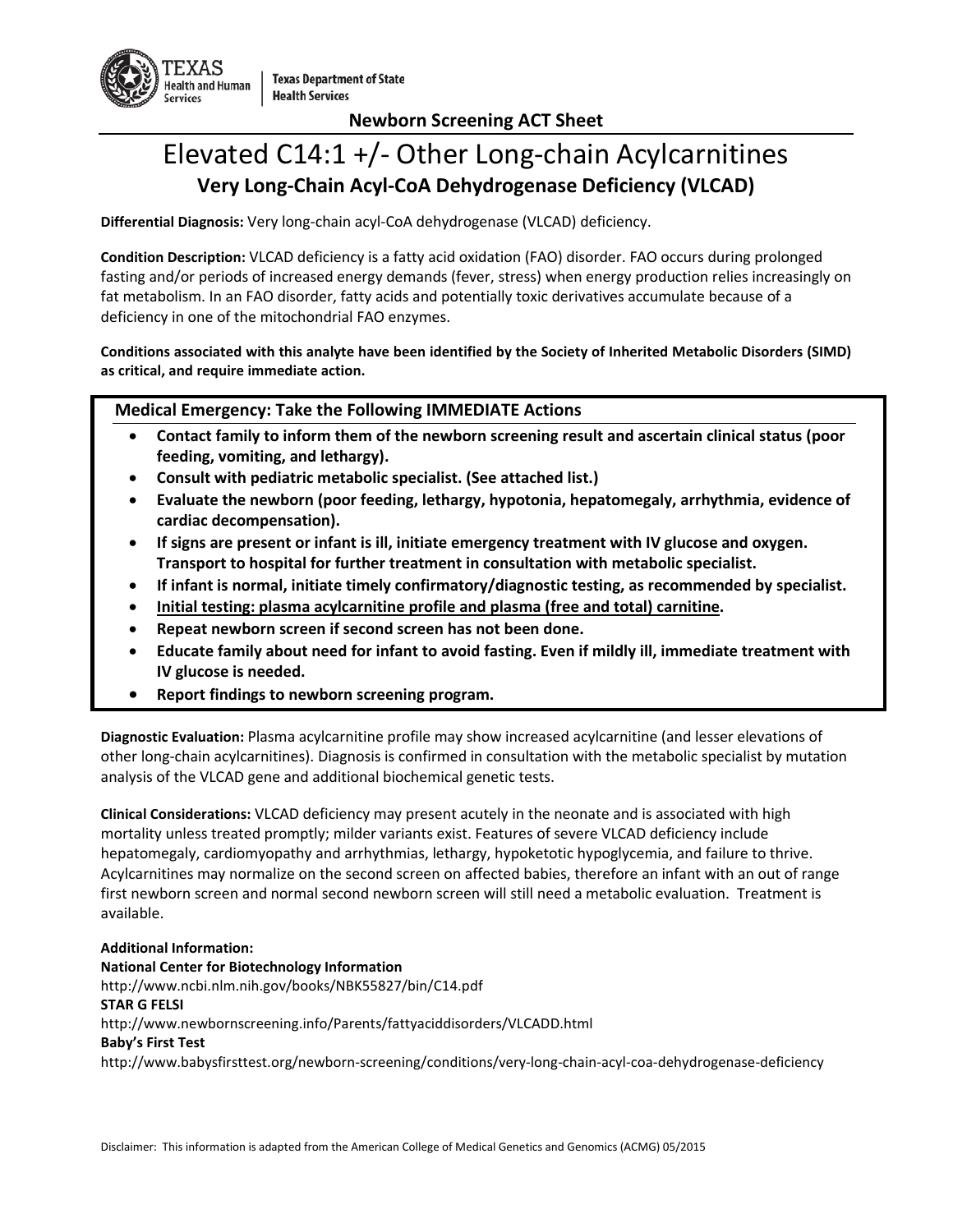

**Newborn Screening ACT Sheet**

# Elevated C14:1 +/- Other Long-chain Acylcarnitines **Very Long-Chain Acyl-CoA Dehydrogenase Deficiency (VLCAD)**

**Differential Diagnosis:** Very long-chain acyl-CoA dehydrogenase (VLCAD) deficiency.

**Condition Description:** VLCAD deficiency is a fatty acid oxidation (FAO) disorder. FAO occurs during prolonged fasting and/or periods of increased energy demands (fever, stress) when energy production relies increasingly on fat metabolism. In an FAO disorder, fatty acids and potentially toxic derivatives accumulate because of a deficiency in one of the mitochondrial FAO enzymes.

**Conditions associated with this analyte have been identified by the Society of Inherited Metabolic Disorders (SIMD) as critical, and require immediate action.**

#### **Medical Emergency: Take the Following IMMEDIATE Actions**

- **Contact family to inform them of the newborn screening result and ascertain clinical status (poor feeding, vomiting, and lethargy).**
- **Consult with pediatric metabolic specialist. (See attached list.)**
- **Evaluate the newborn (poor feeding, lethargy, hypotonia, hepatomegaly, arrhythmia, evidence of cardiac decompensation).**
- **If signs are present or infant is ill, initiate emergency treatment with IV glucose and oxygen. Transport to hospital for further treatment in consultation with metabolic specialist.**
- **If infant is normal, initiate timely confirmatory/diagnostic testing, as recommended by specialist.**
- **Initial testing: plasma acylcarnitine profile and plasma (free and total) carnitine.**
- **Repeat newborn screen if second screen has not been done.**
- **Educate family about need for infant to avoid fasting. Even if mildly ill, immediate treatment with IV glucose is needed.**
- **Report findings to newborn screening program.**

**Diagnostic Evaluation:** Plasma acylcarnitine profile may show increased acylcarnitine (and lesser elevations of other long-chain acylcarnitines). Diagnosis is confirmed in consultation with the metabolic specialist by mutation analysis of the VLCAD gene and additional biochemical genetic tests.

**Clinical Considerations:** VLCAD deficiency may present acutely in the neonate and is associated with high mortality unless treated promptly; milder variants exist. Features of severe VLCAD deficiency include hepatomegaly, cardiomyopathy and arrhythmias, lethargy, hypoketotic hypoglycemia, and failure to thrive. Acylcarnitines may normalize on the second screen on affected babies, therefore an infant with an out of range first newborn screen and normal second newborn screen will still need a metabolic evaluation. Treatment is available.

#### **Additional Information:**

**National Center for Biotechnology Information** http://www.ncbi.nlm.nih.gov/books/NBK55827/bin/C14.pdf **STAR G FELSI** http://www.newbornscreening.info/Parents/fattyaciddisorders/VLCADD.html **Baby's First Test** http://www.babysfirsttest.org/newborn-screening/conditions/very-long-chain-acyl-coa-dehydrogenase-deficiency